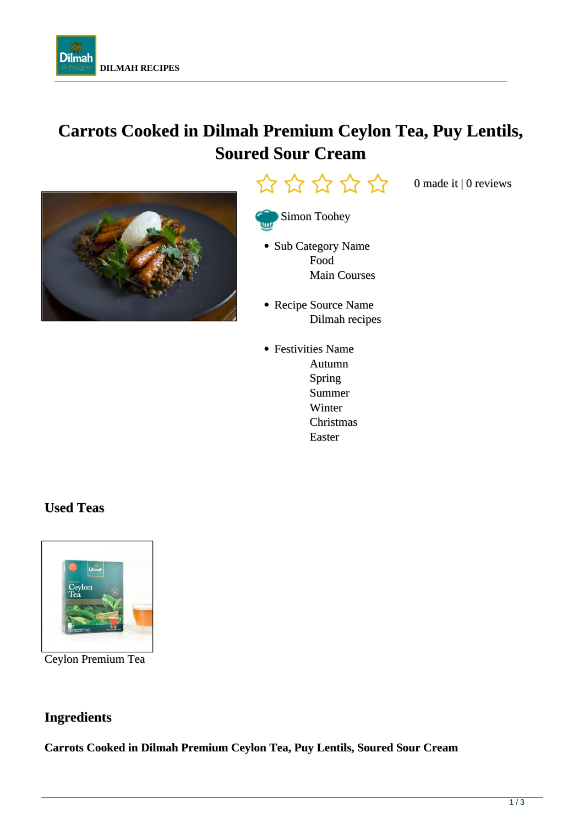

# **Carrots Cooked in Dilmah Premium Ceylon Tea, Puy Lentils, Soured Sour Cream**





0 made it | 0 reviews



- Sub Category Name Food Main Courses
- Recipe Source Name Dilmah recipes
- Festivities Name Autumn Spring Summer Winter Christmas Easter

# **Used Teas**



Ceylon Premium Tea

# **Ingredients**

**Carrots Cooked in Dilmah Premium Ceylon Tea, Puy Lentils, Soured Sour Cream**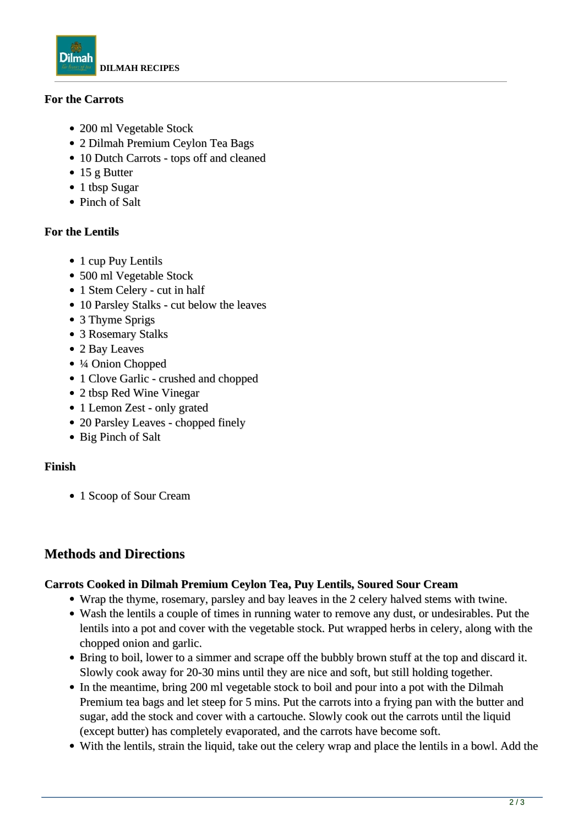

## **For the Carrots**

- 200 ml Vegetable Stock
- 2 Dilmah Premium Ceylon Tea Bags
- 10 Dutch Carrots tops off and cleaned
- 15 g Butter
- 1 tbsp Sugar
- Pinch of Salt

## **For the Lentils**

- 1 cup Puy Lentils
- 500 ml Vegetable Stock
- 1 Stem Celery cut in half
- 10 Parsley Stalks cut below the leaves
- 3 Thyme Sprigs
- 3 Rosemary Stalks
- 2 Bay Leaves
- ¼ Onion Chopped
- 1 Clove Garlic crushed and chopped
- 2 tbsp Red Wine Vinegar
- 1 Lemon Zest only grated
- 20 Parsley Leaves chopped finely
- Big Pinch of Salt

## **Finish**

• 1 Scoop of Sour Cream

## **Methods and Directions**

## **Carrots Cooked in Dilmah Premium Ceylon Tea, Puy Lentils, Soured Sour Cream**

- Wrap the thyme, rosemary, parsley and bay leaves in the 2 celery halved stems with twine.
- Wash the lentils a couple of times in running water to remove any dust, or undesirables. Put the lentils into a pot and cover with the vegetable stock. Put wrapped herbs in celery, along with the chopped onion and garlic.
- Bring to boil, lower to a simmer and scrape off the bubbly brown stuff at the top and discard it. Slowly cook away for 20-30 mins until they are nice and soft, but still holding together.
- In the meantime, bring 200 ml vegetable stock to boil and pour into a pot with the Dilmah Premium tea bags and let steep for 5 mins. Put the carrots into a frying pan with the butter and sugar, add the stock and cover with a cartouche. Slowly cook out the carrots until the liquid (except butter) has completely evaporated, and the carrots have become soft.
- With the lentils, strain the liquid, take out the celery wrap and place the lentils in a bowl. Add the